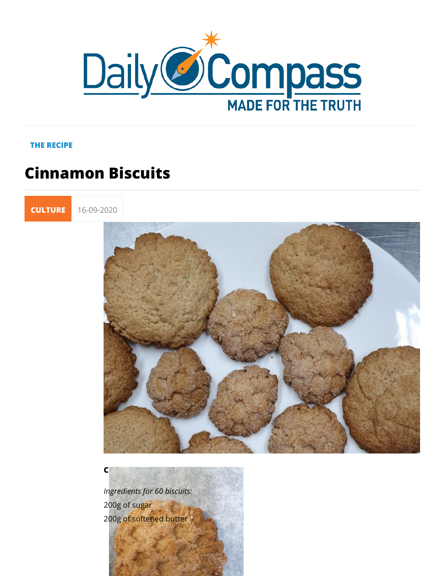## THE RECIPE

## Cinnamon Biscuits



## CINNAMON BISCUITS

Ingredients for 60 biscuits: 200g of sugar 200g of softened butter